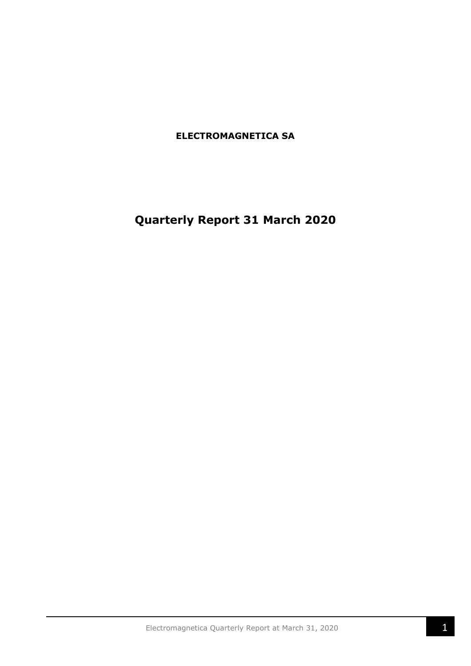**ELECTROMAGNETICA SA**

**Quarterly Report 31 March 2020**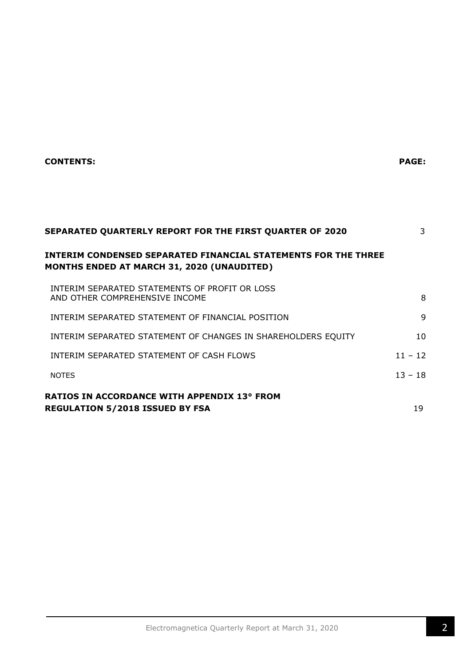| <b>CONTENTS:</b> | <b>PAGE:</b> |
|------------------|--------------|
|                  |              |

| <b>SEPARATED QUARTERLY REPORT FOR THE FIRST QUARTER OF 2020</b>                                                     | 3         |
|---------------------------------------------------------------------------------------------------------------------|-----------|
| INTERIM CONDENSED SEPARATED FINANCIAL STATEMENTS FOR THE THREE<br><b>MONTHS ENDED AT MARCH 31, 2020 (UNAUDITED)</b> |           |
| INTERIM SEPARATED STATEMENTS OF PROFIT OR LOSS<br>AND OTHER COMPREHENSIVE INCOME                                    | 8         |
| INTERIM SEPARATED STATEMENT OF FINANCIAL POSITION                                                                   | 9         |
| INTERIM SEPARATED STATEMENT OF CHANGES IN SHAREHOLDERS EQUITY                                                       | 10        |
| INTERIM SEPARATED STATEMENT OF CASH FLOWS                                                                           | $11 - 12$ |
| <b>NOTES</b>                                                                                                        | $13 - 18$ |
| <b>RATIOS IN ACCORDANCE WITH APPENDIX 13° FROM</b><br><b>REGULATION 5/2018 ISSUED BY FSA</b>                        | 19        |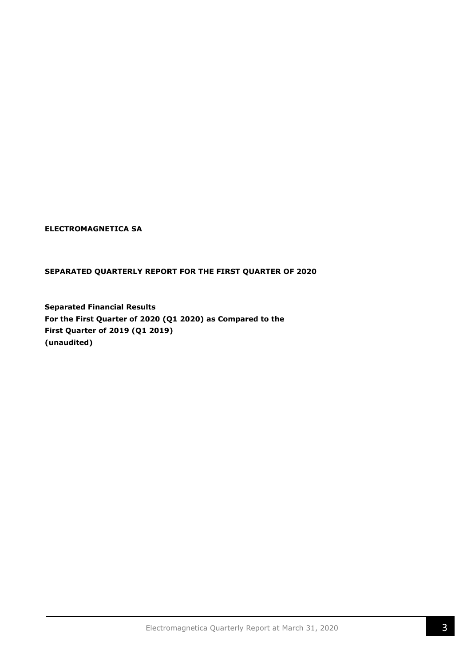## **ELECTROMAGNETICA SA**

## **SEPARATED QUARTERLY REPORT FOR THE FIRST QUARTER OF 2020**

**Separated Financial Results For the First Quarter of 2020 (Q1 2020) as Compared to the First Quarter of 2019 (Q1 2019) (unaudited)**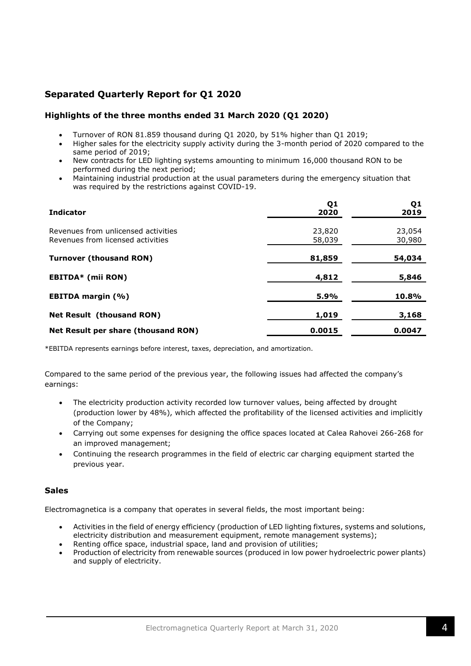# **Separated Quarterly Report for Q1 2020**

## **Highlights of the three months ended 31 March 2020 (Q1 2020)**

- Turnover of RON 81.859 thousand during Q1 2020, by 51% higher than Q1 2019;
- Higher sales for the electricity supply activity during the 3-month period of 2020 compared to the same period of 2019;
- New contracts for LED lighting systems amounting to minimum 16,000 thousand RON to be performed during the next period;
- Maintaining industrial production at the usual parameters during the emergency situation that was required by the restrictions against COVID-19.

| <b>Indicator</b>                                                         | Q <sub>1</sub><br>2020 | Q <sub>1</sub><br>2019 |
|--------------------------------------------------------------------------|------------------------|------------------------|
| Revenues from unlicensed activities<br>Revenues from licensed activities | 23,820<br>58,039       | 23,054<br>30,980       |
| <b>Turnover (thousand RON)</b>                                           | 81,859                 | 54,034                 |
| EBITDA* (mii RON)                                                        | 4,812                  | 5,846                  |
| <b>EBITDA margin (%)</b>                                                 | 5.9%                   | 10.8%                  |
| <b>Net Result (thousand RON)</b>                                         | 1,019                  | 3,168                  |
| Net Result per share (thousand RON)                                      | 0.0015                 | 0.0047                 |

\*EBITDA represents earnings before interest, taxes, depreciation, and amortization.

Compared to the same period of the previous year, the following issues had affected the company's earnings:

- The electricity production activity recorded low turnover values, being affected by drought (production lower by 48%), which affected the profitability of the licensed activities and implicitly of the Company;
- Carrying out some expenses for designing the office spaces located at Calea Rahovei 266-268 for an improved management;
- Continuing the research programmes in the field of electric car charging equipment started the previous year.

### **Sales**

Electromagnetica is a company that operates in several fields, the most important being:

- Activities in the field of energy efficiency (production of LED lighting fixtures, systems and solutions, electricity distribution and measurement equipment, remote management systems);
- Renting office space, industrial space, land and provision of utilities;
- Production of electricity from renewable sources (produced in low power hydroelectric power plants) and supply of electricity.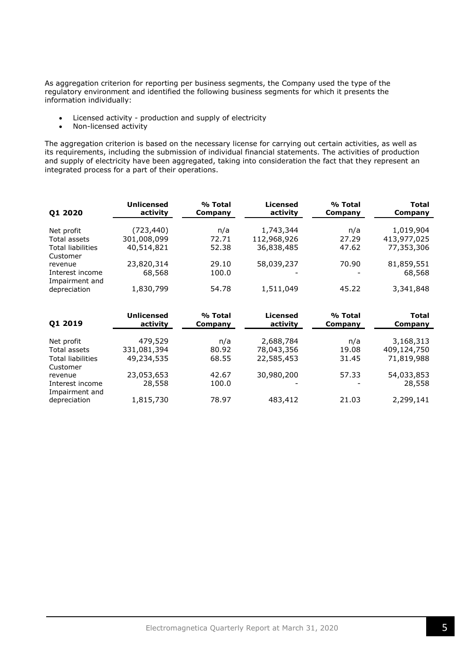As aggregation criterion for reporting per business segments, the Company used the type of the regulatory environment and identified the following business segments for which it presents the information individually:

- Licensed activity production and supply of electricity<br>• Non-licensed activity
- Non-licensed activity

The aggregation criterion is based on the necessary license for carrying out certain activities, as well as its requirements, including the submission of individual financial statements. The activities of production and supply of electricity have been aggregated, taking into consideration the fact that they represent an integrated process for a part of their operations.

| Q1 2020                  | <b>Unlicensed</b><br>activity | % Total<br>Company | <b>Licensed</b><br>activity | % Total<br>Company | <b>Total</b><br>Company |
|--------------------------|-------------------------------|--------------------|-----------------------------|--------------------|-------------------------|
| Net profit               | (723, 440)                    | n/a                | 1,743,344                   | n/a                | 1,019,904               |
|                          |                               |                    |                             |                    |                         |
| Total assets             | 301,008,099                   | 72.71              | 112,968,926                 | 27.29              | 413,977,025             |
| <b>Total liabilities</b> | 40,514,821                    | 52.38              | 36,838,485                  | 47.62              | 77,353,306              |
| Customer                 |                               |                    |                             |                    |                         |
| revenue                  | 23,820,314                    | 29.10              | 58,039,237                  | 70.90              | 81,859,551              |
| Interest income          | 68,568                        | 100.0              | $\overline{\phantom{a}}$    |                    | 68,568                  |
| Impairment and           |                               |                    |                             |                    |                         |
| depreciation             | 1,830,799                     | 54.78              | 1,511,049                   | 45.22              | 3,341,848               |

| Q1 2019                        | <b>Unlicensed</b><br>activity | % Total<br>Company | Licensed<br>activity | % Total<br>Company | Total<br>Company |
|--------------------------------|-------------------------------|--------------------|----------------------|--------------------|------------------|
| Net profit                     | 479,529                       | n/a                | 2,688,784            | n/a                | 3,168,313        |
| Total assets                   | 331,081,394                   | 80.92              | 78,043,356           | 19.08              | 409,124,750      |
| <b>Total liabilities</b>       | 49,234,535                    | 68.55              | 22,585,453           | 31.45              | 71,819,988       |
| Customer                       |                               |                    |                      |                    |                  |
| revenue                        | 23,053,653                    | 42.67              | 30,980,200           | 57.33              | 54,033,853       |
| Interest income                | 28,558                        | 100.0              | -                    |                    | 28,558           |
| Impairment and<br>depreciation | 1,815,730                     | 78.97              | 483,412              | 21.03              | 2,299,141        |
|                                |                               |                    |                      |                    |                  |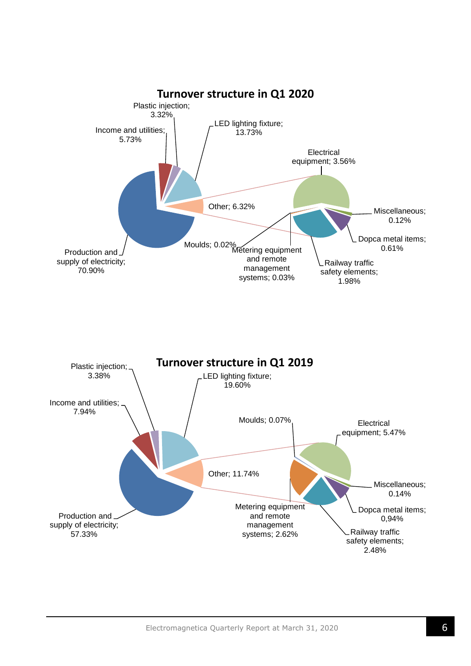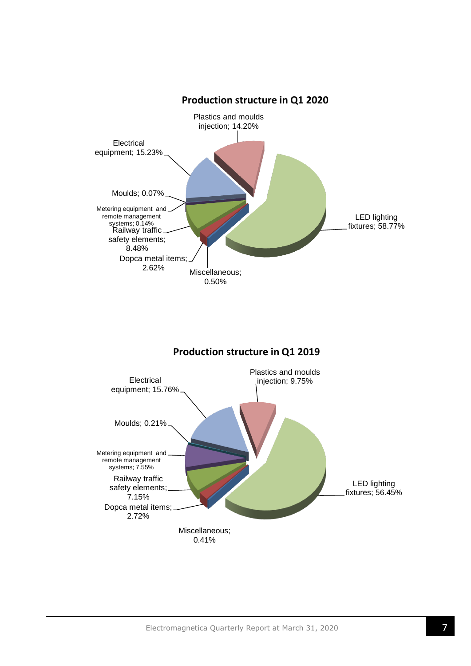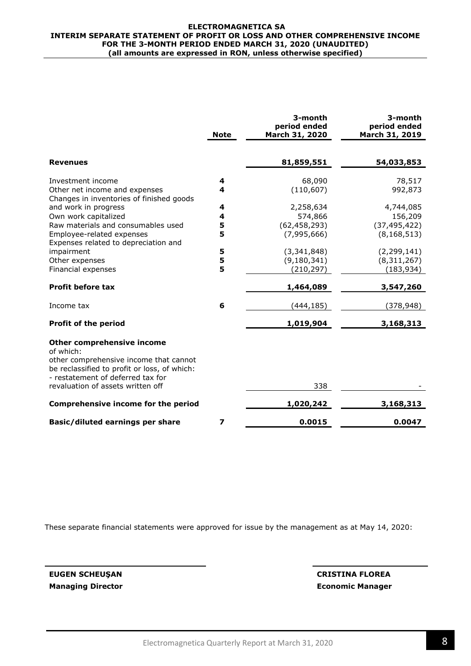#### **ELECTROMAGNETICA SA INTERIM SEPARATE STATEMENT OF PROFIT OR LOSS AND OTHER COMPREHENSIVE INCOME FOR THE 3-MONTH PERIOD ENDED MARCH 31, 2020 (UNAUDITED) (all amounts are expressed in RON, unless otherwise specified)**

|                                                                                                                                                                                                                                            | <b>Note</b> | 3-month<br>period ended<br>March 31, 2020   | 3-month<br>period ended<br>March 31, 2019     |
|--------------------------------------------------------------------------------------------------------------------------------------------------------------------------------------------------------------------------------------------|-------------|---------------------------------------------|-----------------------------------------------|
| <b>Revenues</b>                                                                                                                                                                                                                            |             | 81,859,551                                  | 54,033,853                                    |
| Investment income<br>Other net income and expenses<br>Changes in inventories of finished goods                                                                                                                                             | 4<br>4      | 68,090<br>(110, 607)                        | 78,517<br>992,873                             |
| and work in progress<br>Own work capitalized<br>Raw materials and consumables used                                                                                                                                                         | 4<br>4<br>5 | 2,258,634<br>574,866<br>(62, 458, 293)      | 4,744,085<br>156,209<br>(37, 495, 422)        |
| Employee-related expenses<br>Expenses related to depreciation and<br>impairment<br>Other expenses                                                                                                                                          | 5<br>5<br>5 | (7,995,666)<br>(3,341,848)<br>(9, 180, 341) | (8, 168, 513)<br>(2, 299, 141)<br>(8,311,267) |
| Financial expenses<br><b>Profit before tax</b>                                                                                                                                                                                             | 5           | (210,297)<br>1,464,089                      | (183, 934)<br>3,547,260                       |
| Income tax                                                                                                                                                                                                                                 | 6           | (444, 185)                                  | (378, 948)                                    |
| <b>Profit of the period</b><br>Other comprehensive income<br>of which:<br>other comprehensive income that cannot<br>be reclassified to profit or loss, of which:<br>- restatement of deferred tax for<br>revaluation of assets written off |             | 1,019,904<br>338                            | 3,168,313                                     |
| Comprehensive income for the period                                                                                                                                                                                                        |             | 1,020,242                                   | 3,168,313                                     |
| Basic/diluted earnings per share                                                                                                                                                                                                           | 7           | 0.0015                                      | 0.0047                                        |

These separate financial statements were approved for issue by the management as at May 14, 2020:

**Managing Director Economic Manager**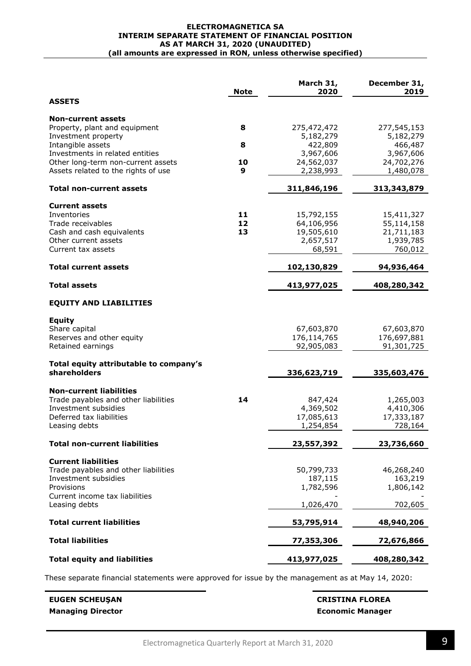#### **ELECTROMAGNETICA SA INTERIM SEPARATE STATEMENT OF FINANCIAL POSITION AS AT MARCH 31, 2020 (UNAUDITED) (all amounts are expressed in RON, unless otherwise specified)**

|                                                      | <b>Note</b> | March 31,<br>2020         | December 31,<br>2019      |
|------------------------------------------------------|-------------|---------------------------|---------------------------|
| <b>ASSETS</b>                                        |             |                           |                           |
| <b>Non-current assets</b>                            |             |                           |                           |
| Property, plant and equipment<br>Investment property | 8           | 275,472,472<br>5,182,279  | 277,545,153<br>5,182,279  |
| Intangible assets                                    | 8           | 422,809                   | 466,487                   |
| Investments in related entities                      |             | 3,967,606                 | 3,967,606                 |
| Other long-term non-current assets                   | 10          | 24,562,037                | 24,702,276                |
| Assets related to the rights of use                  | 9           | 2,238,993                 | 1,480,078                 |
| <b>Total non-current assets</b>                      |             | 311,846,196               | 313,343,879               |
| <b>Current assets</b>                                |             |                           |                           |
| Inventories                                          | 11          | 15,792,155                | 15,411,327                |
| Trade receivables                                    | 12<br>13    | 64,106,956                | 55,114,158                |
| Cash and cash equivalents<br>Other current assets    |             | 19,505,610<br>2,657,517   | 21,711,183<br>1,939,785   |
| Current tax assets                                   |             | 68,591                    | 760,012                   |
| <b>Total current assets</b>                          |             | 102,130,829               | 94,936,464                |
|                                                      |             |                           |                           |
| <b>Total assets</b>                                  |             | 413,977,025               | 408,280,342               |
| <b>EQUITY AND LIABILITIES</b>                        |             |                           |                           |
| <b>Equity</b>                                        |             |                           |                           |
| Share capital                                        |             | 67,603,870<br>176,114,765 | 67,603,870<br>176,697,881 |
| Reserves and other equity<br>Retained earnings       |             | 92,905,083                | 91,301,725                |
| Total equity attributable to company's               |             |                           |                           |
| shareholders                                         |             | 336,623,719               | 335,603,476               |
| <b>Non-current liabilities</b>                       |             |                           |                           |
| Trade payables and other liabilities                 | 14          | 847,424                   | 1,265,003                 |
| Investment subsidies                                 |             | 4,369,502                 | 4,410,306                 |
| Deferred tax liabilities                             |             | 17,085,613                | 17,333,187                |
| Leasing debts                                        |             | 1,254,854                 | 728,164                   |
| <b>Total non-current liabilities</b>                 |             | 23,557,392                | 23,736,660                |
| <b>Current liabilities</b>                           |             |                           |                           |
| Trade payables and other liabilities                 |             | 50,799,733                | 46,268,240                |
| Investment subsidies<br>Provisions                   |             | 187,115<br>1,782,596      | 163,219<br>1,806,142      |
| Current income tax liabilities                       |             |                           |                           |
| Leasing debts                                        |             | 1,026,470                 | 702,605                   |
| <b>Total current liabilities</b>                     |             | 53,795,914                | 48,940,206                |
| <b>Total liabilities</b>                             |             | 77,353,306                | 72,676,866                |
| <b>Total equity and liabilities</b>                  |             | 413,977,025               | 408,280,342               |
|                                                      |             |                           |                           |

These separate financial statements were approved for issue by the management as at May 14, 2020:

| <b>EUGEN SCHEUSAN</b>    | <b>CRISTINA FLOREA</b>  |
|--------------------------|-------------------------|
| <b>Managing Director</b> | <b>Economic Manager</b> |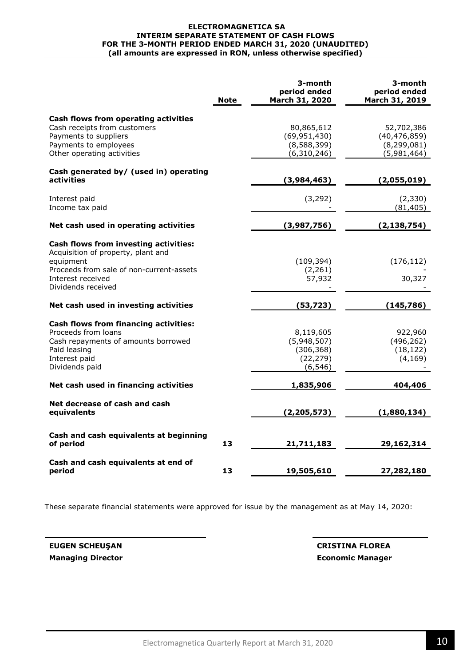#### **ELECTROMAGNETICA SA INTERIM SEPARATE STATEMENT OF CASH FLOWS FOR THE 3-MONTH PERIOD ENDED MARCH 31, 2020 (UNAUDITED) (all amounts are expressed in RON, unless otherwise specified)**

|                                                                                                                                                                                 | <b>Note</b> | 3-month<br>period ended<br>March 31, 2020                       | 3-month<br>period ended<br>March 31, 2019                    |
|---------------------------------------------------------------------------------------------------------------------------------------------------------------------------------|-------------|-----------------------------------------------------------------|--------------------------------------------------------------|
| Cash flows from operating activities<br>Cash receipts from customers<br>Payments to suppliers<br>Payments to employees<br>Other operating activities                            |             | 80,865,612<br>(69, 951, 430)<br>(8,588,399)<br>(6,310,246)      | 52,702,386<br>(40, 476, 859)<br>(8, 299, 081)<br>(5,981,464) |
| Cash generated by/ (used in) operating<br>activities                                                                                                                            |             | (3,984,463)                                                     | (2,055,019)                                                  |
| Interest paid<br>Income tax paid                                                                                                                                                |             | (3, 292)                                                        | (2, 330)<br>(81, 405)                                        |
| Net cash used in operating activities                                                                                                                                           |             | (3,987,756)                                                     | (2, 138, 754)                                                |
| Cash flows from investing activities:<br>Acquisition of property, plant and<br>equipment<br>Proceeds from sale of non-current-assets<br>Interest received<br>Dividends received |             | (109, 394)<br>(2, 261)<br>57,932                                | (176, 112)<br>30,327                                         |
| Net cash used in investing activities                                                                                                                                           |             | (53, 723)                                                       | (145,786)                                                    |
| <b>Cash flows from financing activities:</b><br>Proceeds from loans<br>Cash repayments of amounts borrowed<br>Paid leasing<br>Interest paid<br>Dividends paid                   |             | 8,119,605<br>(5,948,507)<br>(306, 368)<br>(22, 279)<br>(6, 546) | 922,960<br>(496, 262)<br>(18, 122)<br>(4, 169)               |
| Net cash used in financing activities                                                                                                                                           |             | 1,835,906                                                       | 404,406                                                      |
| Net decrease of cash and cash<br>equivalents                                                                                                                                    |             | (2, 205, 573)                                                   | (1,880,134)                                                  |
| Cash and cash equivalents at beginning<br>of period                                                                                                                             | 13          | 21,711,183                                                      | 29,162,314                                                   |
| Cash and cash equivalents at end of<br>period                                                                                                                                   | 13          | 19,505,610                                                      | 27,282,180                                                   |

These separate financial statements were approved for issue by the management as at May 14, 2020:

**Managing Director Economic Manager**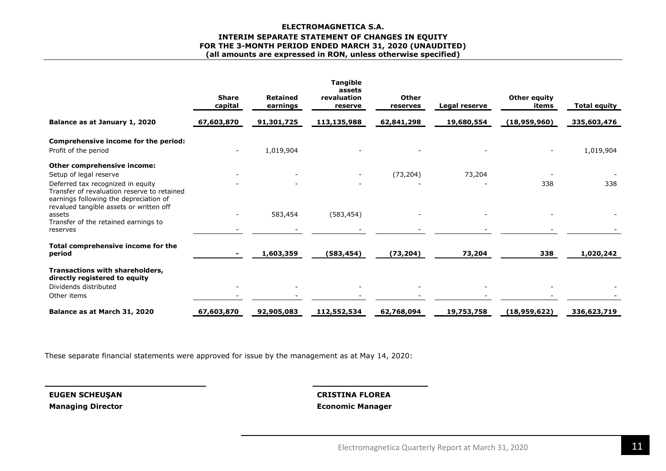#### **ELECTROMAGNETICA S.A. INTERIM SEPARATE STATEMENT OF CHANGES IN EQUITY FOR THE 3-MONTH PERIOD ENDED MARCH 31, 2020 (UNAUDITED) (all amounts are expressed in RON, unless otherwise specified)**

|                                                                                                                                                                       | <b>Share</b><br>capital | <b>Retained</b><br>earnings | <b>Tangible</b><br>assets<br>revaluation<br>reserve | Other<br>reserves | Legal reserve | Other equity<br>items | <b>Total equity</b> |
|-----------------------------------------------------------------------------------------------------------------------------------------------------------------------|-------------------------|-----------------------------|-----------------------------------------------------|-------------------|---------------|-----------------------|---------------------|
| Balance as at January 1, 2020                                                                                                                                         | 67,603,870              | 91,301,725                  | 113,135,988                                         | 62,841,298        | 19,680,554    | (18,959,960)          | 335,603,476         |
| <b>Comprehensive income for the period:</b><br>Profit of the period                                                                                                   |                         | 1,019,904                   |                                                     |                   |               |                       | 1,019,904           |
| Other comprehensive income:<br>Setup of legal reserve                                                                                                                 |                         |                             |                                                     | (73, 204)         | 73,204        |                       |                     |
| Deferred tax recognized in equity<br>Transfer of revaluation reserve to retained<br>earnings following the depreciation of<br>revalued tangible assets or written off |                         |                             |                                                     |                   |               | 338                   | 338                 |
| assets<br>Transfer of the retained earnings to<br>reserves                                                                                                            |                         | 583,454                     | (583, 454)                                          |                   |               |                       |                     |
| Total comprehensive income for the<br>period                                                                                                                          |                         | 1,603,359                   | (583, 454)                                          | (73, 204)         | 73,204        | 338                   | 1,020,242           |
| Transactions with shareholders,<br>directly registered to equity<br>Dividends distributed                                                                             |                         |                             |                                                     |                   |               |                       |                     |
| Other items                                                                                                                                                           |                         |                             |                                                     |                   |               |                       |                     |
| Balance as at March 31, 2020                                                                                                                                          | 67,603,870              | 92,905,083                  | 112,552,534                                         | 62,768,094        | 19,753,758    | (18,959,622)          | 336,623,719         |

These separate financial statements were approved for issue by the management as at May 14, 2020:

**Managing Director Economic Manager**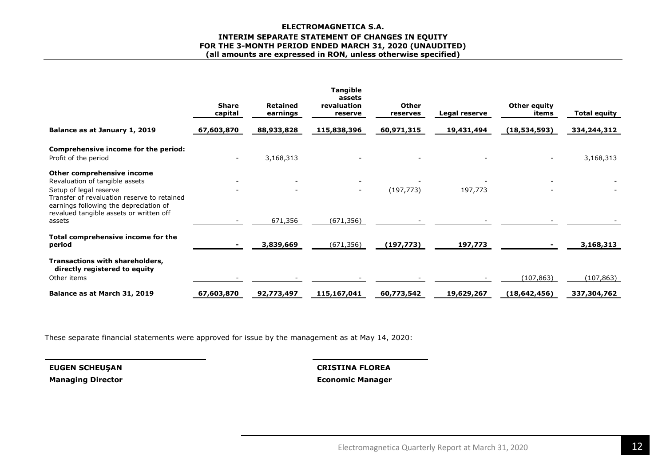#### **ELECTROMAGNETICA S.A. INTERIM SEPARATE STATEMENT OF CHANGES IN EQUITY FOR THE 3-MONTH PERIOD ENDED MARCH 31, 2020 (UNAUDITED) (all amounts are expressed in RON, unless otherwise specified)**

|                                                                                                                                                                                 | <b>Share</b><br>capital | <b>Retained</b><br>earnings | <b>Tangible</b><br>assets<br>revaluation<br>reserve | <b>Other</b><br>reserves | Legal reserve | <b>Other equity</b><br>items | <b>Total equity</b> |
|---------------------------------------------------------------------------------------------------------------------------------------------------------------------------------|-------------------------|-----------------------------|-----------------------------------------------------|--------------------------|---------------|------------------------------|---------------------|
| Balance as at January 1, 2019                                                                                                                                                   | 67,603,870              | 88,933,828                  | 115,838,396                                         | 60,971,315               | 19,431,494    | (18, 534, 593)               | 334,244,312         |
| Comprehensive income for the period:<br>Profit of the period                                                                                                                    |                         | 3,168,313                   |                                                     |                          |               |                              | 3,168,313           |
| Other comprehensive income<br>Revaluation of tangible assets<br>Setup of legal reserve<br>Transfer of revaluation reserve to retained<br>earnings following the depreciation of |                         | $\blacksquare$              | $\overline{\phantom{a}}$                            | (197, 773)               | 197,773       |                              |                     |
| revalued tangible assets or written off<br>assets                                                                                                                               |                         | 671,356                     | (671, 356)                                          |                          |               |                              |                     |
| Total comprehensive income for the<br>period                                                                                                                                    |                         | 3,839,669                   | (671, 356)                                          | (197, 773)               | 197,773       |                              | 3,168,313           |
| Transactions with shareholders,<br>directly registered to equity<br>Other items                                                                                                 |                         |                             |                                                     |                          |               | (107, 863)                   | (107,863)           |
| Balance as at March 31, 2019                                                                                                                                                    | 67,603,870              | 92,773,497                  | 115,167,041                                         | 60,773,542               | 19,629,267    | (18, 642, 456)               | 337,304,762         |

These separate financial statements were approved for issue by the management as at May 14, 2020:

**Managing Director Economic Manager**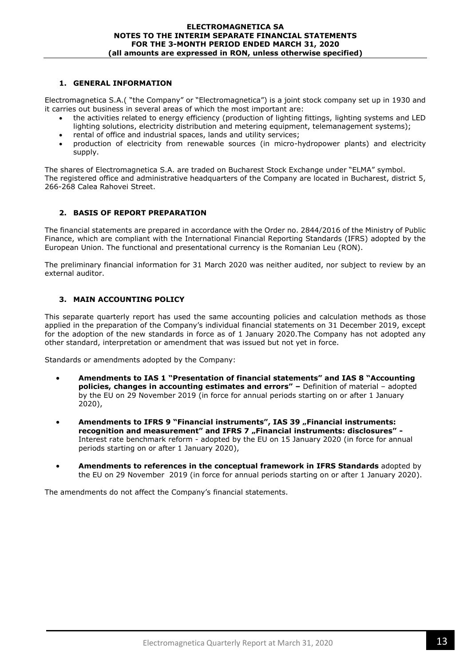## **1. GENERAL INFORMATION**

Electromagnetica S.A.( "the Company" or "Electromagnetica") is a joint stock company set up in 1930 and it carries out business in several areas of which the most important are:

- the activities related to energy efficiency (production of lighting fittings, lighting systems and LED lighting solutions, electricity distribution and metering equipment, telemanagement systems);
- rental of office and industrial spaces, lands and utility services;
- production of electricity from renewable sources (in micro-hydropower plants) and electricity supply.

The shares of Electromagnetica S.A. are traded on Bucharest Stock Exchange under "ELMA" symbol. The registered office and administrative headquarters of the Company are located in Bucharest, district 5, 266-268 Calea Rahovei Street.

## **2. BASIS OF REPORT PREPARATION**

The financial statements are prepared in accordance with the Order no. 2844/2016 of the Ministry of Public Finance, which are compliant with the International Financial Reporting Standards (IFRS) adopted by the European Union. The functional and presentational currency is the Romanian Leu (RON).

The preliminary financial information for 31 March 2020 was neither audited, nor subject to review by an external auditor.

## **3. MAIN ACCOUNTING POLICY**

This separate quarterly report has used the same accounting policies and calculation methods as those applied in the preparation of the Company's individual financial statements on 31 December 2019, except for the adoption of the new standards in force as of 1 January 2020.The Company has not adopted any other standard, interpretation or amendment that was issued but not yet in force.

Standards or amendments adopted by the Company:

- **Amendments to IAS 1 "Presentation of financial statements" and IAS 8 "Accounting policies, changes in accounting estimates and errors" –** Definition of material – adopted by the EU on 29 November 2019 (in force for annual periods starting on or after 1 January 2020),
- **•** Amendments to IFRS 9 "Financial instruments", IAS 39 "Financial instruments: **recognition and measurement" and IFRS 7** "Financial instruments: disclosures" -Interest rate benchmark reform - adopted by the EU on 15 January 2020 (in force for annual periods starting on or after 1 January 2020),
- **Amendments to references in the conceptual framework in IFRS Standards** adopted by the EU on 29 November 2019 (in force for annual periods starting on or after 1 January 2020).

The amendments do not affect the Company's financial statements.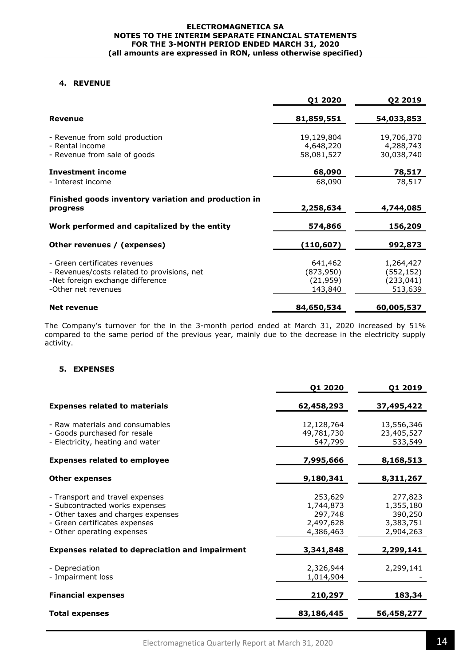#### **ELECTROMAGNETICA SA NOTES TO THE INTERIM SEPARATE FINANCIAL STATEMENTS FOR THE 3-MONTH PERIOD ENDED MARCH 31, 2020 (all amounts are expressed in RON, unless otherwise specified)**

## **4. REVENUE**

|                                                                                 | Q1 2020                 | Q2 2019                  |
|---------------------------------------------------------------------------------|-------------------------|--------------------------|
| <b>Revenue</b>                                                                  | 81,859,551              | 54,033,853               |
| - Revenue from sold production<br>- Rental income                               | 19,129,804<br>4,648,220 | 19,706,370<br>4,288,743  |
| - Revenue from sale of goods                                                    | 58,081,527              | 30,038,740               |
| <b>Investment income</b>                                                        | 68,090                  | 78,517                   |
| - Interest income                                                               | 68,090                  | 78,517                   |
| Finished goods inventory variation and production in                            |                         |                          |
| progress                                                                        | 2,258,634               | 4,744,085                |
| Work performed and capitalized by the entity                                    | 574,866                 | 156,209                  |
| Other revenues / (expenses)                                                     | (110, 607)              | 992,873                  |
| - Green certificates revenues                                                   | 641,462                 | 1,264,427                |
| - Revenues/costs related to provisions, net<br>-Net foreign exchange difference | (873,950)<br>(21, 959)  | (552, 152)<br>(233, 041) |
| -Other net revenues                                                             | 143,840                 | 513,639                  |
| <b>Net revenue</b>                                                              | 84,650,534              | 60,005,537               |

The Company's turnover for the in the 3-month period ended at March 31, 2020 increased by 51% compared to the same period of the previous year, mainly due to the decrease in the electricity supply activity.

## **5. EXPENSES**

|                                                                                                                                                                        | Q1 2020                                                   | Q1 2019                                                   |
|------------------------------------------------------------------------------------------------------------------------------------------------------------------------|-----------------------------------------------------------|-----------------------------------------------------------|
| <b>Expenses related to materials</b>                                                                                                                                   | 62,458,293                                                | 37,495,422                                                |
| - Raw materials and consumables<br>- Goods purchased for resale<br>- Electricity, heating and water                                                                    | 12,128,764<br>49,781,730<br>547,799                       | 13,556,346<br>23,405,527<br>533,549                       |
| <b>Expenses related to employee</b>                                                                                                                                    | 7,995,666                                                 | 8,168,513                                                 |
| Other expenses                                                                                                                                                         | 9,180,341                                                 | 8,311,267                                                 |
| - Transport and travel expenses<br>- Subcontracted works expenses<br>- Other taxes and charges expenses<br>- Green certificates expenses<br>- Other operating expenses | 253,629<br>1,744,873<br>297,748<br>2,497,628<br>4,386,463 | 277,823<br>1,355,180<br>390,250<br>3,383,751<br>2,904,263 |
| <b>Expenses related to depreciation and impairment</b>                                                                                                                 | 3,341,848                                                 | 2,299,141                                                 |
| - Depreciation<br>- Impairment loss                                                                                                                                    | 2,326,944<br>1,014,904                                    | 2,299,141                                                 |
| <b>Financial expenses</b>                                                                                                                                              | 210,297                                                   | 183,34                                                    |
| <b>Total expenses</b>                                                                                                                                                  | 83,186,445                                                | 56,458,277                                                |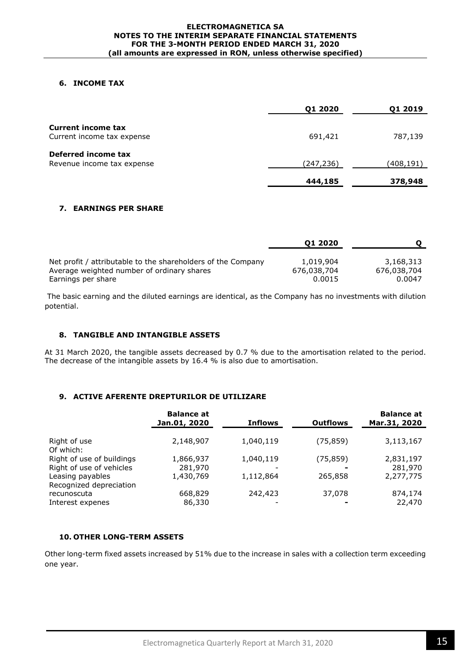## **6. INCOME TAX**

|                            | 01 2020    | 01 2019    |
|----------------------------|------------|------------|
| <b>Current income tax</b>  |            |            |
| Current income tax expense | 691,421    | 787,139    |
| Deferred income tax        |            |            |
| Revenue income tax expense | (247, 236) | (408, 191) |
|                            | 444,185    | 378,948    |

## **7. EARNINGS PER SHARE**

|                                                              | 01 2020     |             |
|--------------------------------------------------------------|-------------|-------------|
| Net profit / attributable to the shareholders of the Company | 1,019,904   | 3,168,313   |
| Average weighted number of ordinary shares                   | 676,038,704 | 676,038,704 |
| Earnings per share                                           | 0.0015      | 0.0047      |

The basic earning and the diluted earnings are identical, as the Company has no investments with dilution potential.

### **8. TANGIBLE AND INTANGIBLE ASSETS**

At 31 March 2020, the tangible assets decreased by 0.7 % due to the amortisation related to the period. The decrease of the intangible assets by 16.4 % is also due to amortisation.

### **9. ACTIVE AFERENTE DREPTURILOR DE UTILIZARE**

|                                              | <b>Balance at</b><br>Jan.01, 2020 | <b>Inflows</b> | <b>Outflows</b> | <b>Balance at</b><br>Mar.31, 2020 |
|----------------------------------------------|-----------------------------------|----------------|-----------------|-----------------------------------|
| Right of use                                 | 2,148,907                         | 1,040,119      | (75, 859)       | 3,113,167                         |
| Of which:<br>Right of use of buildings       | 1,866,937                         | 1,040,119      | (75, 859)       | 2,831,197                         |
| Right of use of vehicles<br>Leasing payables | 281,970<br>1,430,769              | 1,112,864      | 265,858         | 281,970<br>2,277,775              |
| Recognized depreciation<br>recunoscuta       | 668,829                           | 242,423        | 37,078          | 874,174                           |
| Interest expenes                             | 86,330                            |                |                 | 22,470                            |

### **10. OTHER LONG-TERM ASSETS**

Other long-term fixed assets increased by 51% due to the increase in sales with a collection term exceeding one year.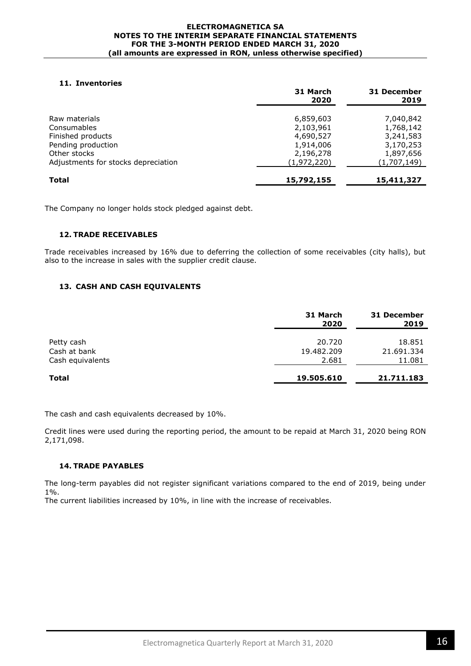#### **ELECTROMAGNETICA SA NOTES TO THE INTERIM SEPARATE FINANCIAL STATEMENTS FOR THE 3-MONTH PERIOD ENDED MARCH 31, 2020 (all amounts are expressed in RON, unless otherwise specified)**

### **11. Inventories**

|                                     | 31 March<br>2020       | 31 December<br>2019    |
|-------------------------------------|------------------------|------------------------|
| Raw materials                       |                        |                        |
| <b>Consumables</b>                  | 6,859,603<br>2,103,961 | 7,040,842<br>1,768,142 |
| Finished products                   | 4,690,527              | 3,241,583              |
| Pending production                  | 1,914,006              | 3,170,253              |
| Other stocks                        | 2,196,278              | 1,897,656              |
| Adjustments for stocks depreciation | (1,972,220)            | (1,707,149)            |
| Total                               | 15,792,155             | 15,411,327             |

The Company no longer holds stock pledged against debt.

#### **12. TRADE RECEIVABLES**

Trade receivables increased by 16% due to deferring the collection of some receivables (city halls), but also to the increase in sales with the supplier credit clause.

### **13. CASH AND CASH EQUIVALENTS**

|                  | 31 March<br>2020 | 31 December<br>2019 |
|------------------|------------------|---------------------|
| Petty cash       | 20.720           | 18.851              |
| Cash at bank     | 19,482,209       | 21.691.334          |
| Cash equivalents | 2.681            | 11.081              |
| <b>Total</b>     | 19,505,610       | 21.711.183          |

The cash and cash equivalents decreased by 10%.

Credit lines were used during the reporting period, the amount to be repaid at March 31, 2020 being RON 2,171,098.

#### **14. TRADE PAYABLES**

The long-term payables did not register significant variations compared to the end of 2019, being under 1%.

The current liabilities increased by 10%, in line with the increase of receivables.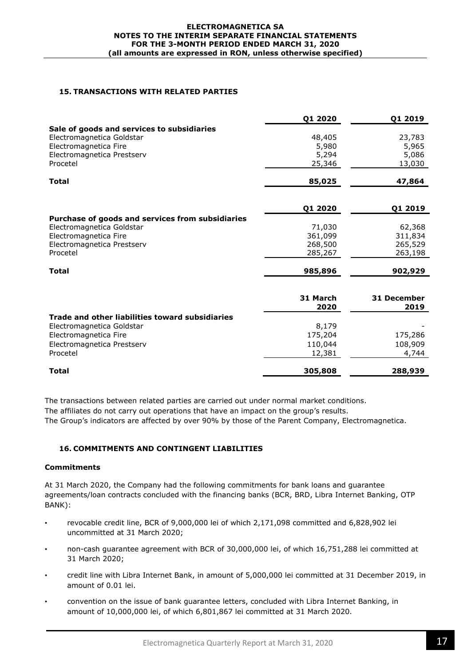### **15. TRANSACTIONS WITH RELATED PARTIES**

|                                                                                                                                                  | Q1 2020                                 | Q1 2019                                 |
|--------------------------------------------------------------------------------------------------------------------------------------------------|-----------------------------------------|-----------------------------------------|
| Sale of goods and services to subsidiaries<br>Electromagnetica Goldstar<br>Electromagnetica Fire<br>Electromagnetica Prestserv<br>Procetel       | 48,405<br>5,980<br>5,294<br>25,346      | 23,783<br>5,965<br>5,086<br>13,030      |
| <b>Total</b>                                                                                                                                     | 85,025                                  | 47,864                                  |
|                                                                                                                                                  | Q1 2020                                 | Q1 2019                                 |
| Purchase of goods and services from subsidiaries<br>Electromagnetica Goldstar<br>Electromagnetica Fire<br>Electromagnetica Prestserv<br>Procetel | 71,030<br>361,099<br>268,500<br>285,267 | 62,368<br>311,834<br>265,529<br>263,198 |
| <b>Total</b>                                                                                                                                     | 985,896                                 | 902,929                                 |
|                                                                                                                                                  | 31 March<br>2020                        | <b>31 December</b><br>2019              |
| Trade and other liabilities toward subsidiaries                                                                                                  |                                         |                                         |
| Electromagnetica Goldstar                                                                                                                        | 8,179                                   |                                         |
| Electromagnetica Fire                                                                                                                            | 175,204                                 | 175,286                                 |
| Electromagnetica Prestserv                                                                                                                       | 110,044                                 | 108,909                                 |
| Procetel                                                                                                                                         | 12,381                                  | 4,744                                   |
| <b>Total</b>                                                                                                                                     | 305,808                                 | 288,939                                 |

The transactions between related parties are carried out under normal market conditions. The affiliates do not carry out operations that have an impact on the group's results. The Group's indicators are affected by over 90% by those of the Parent Company, Electromagnetica.

## **16. COMMITMENTS AND CONTINGENT LIABILITIES**

#### **Commitments**

At 31 March 2020, the Company had the following commitments for bank loans and guarantee agreements/loan contracts concluded with the financing banks (BCR, BRD, Libra Internet Banking, OTP BANK):

- revocable credit line, BCR of 9,000,000 lei of which 2,171,098 committed and 6,828,902 lei uncommitted at 31 March 2020;
- non-cash guarantee agreement with BCR of 30,000,000 lei, of which 16,751,288 lei committed at 31 March 2020;
- credit line with Libra Internet Bank, in amount of 5,000,000 lei committed at 31 December 2019, in amount of 0.01 lei.
- convention on the issue of bank guarantee letters, concluded with Libra Internet Banking, in amount of 10,000,000 lei, of which 6,801,867 lei committed at 31 March 2020.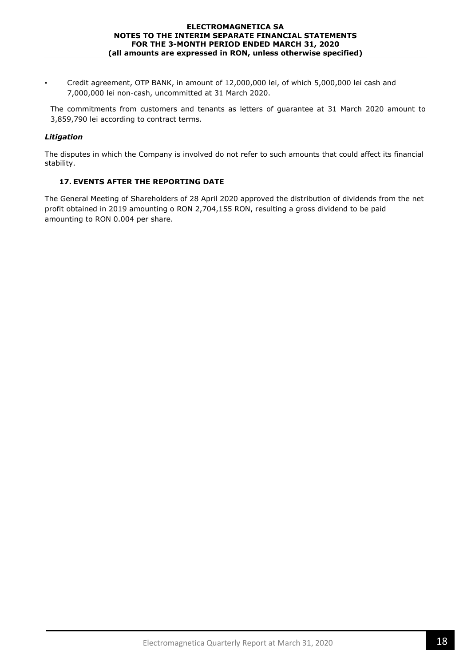• Credit agreement, OTP BANK, in amount of 12,000,000 lei, of which 5,000,000 lei cash and 7,000,000 lei non-cash, uncommitted at 31 March 2020.

The commitments from customers and tenants as letters of guarantee at 31 March 2020 amount to 3,859,790 lei according to contract terms.

### *Litigation*

The disputes in which the Company is involved do not refer to such amounts that could affect its financial stability.

### **17. EVENTS AFTER THE REPORTING DATE**

The General Meeting of Shareholders of 28 April 2020 approved the distribution of dividends from the net profit obtained in 2019 amounting o RON 2,704,155 RON, resulting a gross dividend to be paid amounting to RON 0.004 per share.